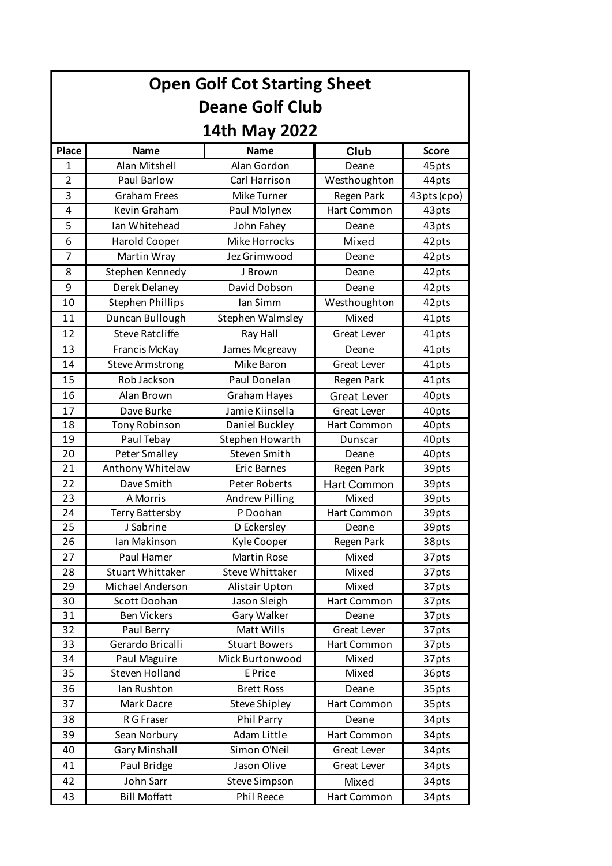| <b>Open Golf Cot Starting Sheet</b><br><b>Deane Golf Club</b><br>14th May 2022 |                         |                        |                    |             |  |  |       |               |             |       |              |
|--------------------------------------------------------------------------------|-------------------------|------------------------|--------------------|-------------|--|--|-------|---------------|-------------|-------|--------------|
|                                                                                |                         |                        |                    |             |  |  | Place | Name          | <b>Name</b> | Club  | <b>Score</b> |
|                                                                                |                         |                        |                    |             |  |  | 1     | Alan Mitshell | Alan Gordon | Deane | 45pts        |
| $\overline{2}$                                                                 | Paul Barlow             | Carl Harrison          | Westhoughton       | 44pts       |  |  |       |               |             |       |              |
| 3                                                                              | <b>Graham Frees</b>     | Mike Turner            | Regen Park         | 43pts (cpo) |  |  |       |               |             |       |              |
| 4                                                                              | Kevin Graham            | Paul Molynex           | Hart Common        | 43pts       |  |  |       |               |             |       |              |
| 5                                                                              | Ian Whitehead           | John Fahey             | Deane              | 43pts       |  |  |       |               |             |       |              |
| 6                                                                              | Harold Cooper           | Mike Horrocks          | Mixed              | 42pts       |  |  |       |               |             |       |              |
| $\overline{7}$                                                                 | Martin Wray             | Jez Grimwood           | Deane              | 42pts       |  |  |       |               |             |       |              |
| 8                                                                              | Stephen Kennedy         | J Brown                | Deane              | 42pts       |  |  |       |               |             |       |              |
| 9                                                                              | Derek Delaney           | David Dobson           | Deane              | 42pts       |  |  |       |               |             |       |              |
| 10                                                                             | <b>Stephen Phillips</b> | Ian Simm               | Westhoughton       | 42pts       |  |  |       |               |             |       |              |
| 11                                                                             | Duncan Bullough         | Stephen Walmsley       | Mixed              | 41pts       |  |  |       |               |             |       |              |
| 12                                                                             | Steve Ratcliffe         | Ray Hall               | <b>Great Lever</b> | 41pts       |  |  |       |               |             |       |              |
| 13                                                                             | Francis McKay           | James Mcgreavy         | Deane              | 41pts       |  |  |       |               |             |       |              |
| 14                                                                             | <b>Steve Armstrong</b>  | Mike Baron             | <b>Great Lever</b> | 41pts       |  |  |       |               |             |       |              |
| 15                                                                             | Rob Jackson             | Paul Donelan           | Regen Park         | 41pts       |  |  |       |               |             |       |              |
| 16                                                                             | Alan Brown              | Graham Hayes           | Great Lever        | 40pts       |  |  |       |               |             |       |              |
| 17                                                                             | Dave Burke              | Jamie Kiinsella        | <b>Great Lever</b> | 40pts       |  |  |       |               |             |       |              |
| 18                                                                             | Tony Robinson           | Daniel Buckley         | Hart Common        | 40pts       |  |  |       |               |             |       |              |
| 19                                                                             | Paul Tebay              | Stephen Howarth        | Dunscar            | 40pts       |  |  |       |               |             |       |              |
| 20                                                                             | Peter Smalley           | Steven Smith           | Deane              | 40pts       |  |  |       |               |             |       |              |
| 21                                                                             | Anthony Whitelaw        | <b>Eric Barnes</b>     | Regen Park         | 39pts       |  |  |       |               |             |       |              |
| 22                                                                             | Dave Smith              | <b>Peter Roberts</b>   | <b>Hart Common</b> | 39pts       |  |  |       |               |             |       |              |
| 23                                                                             | A Morris                | Andrew Pilling         | Mixed              | 39pts       |  |  |       |               |             |       |              |
| 24                                                                             | <b>Terry Battersby</b>  | P Doohan               | Hart Common        | 39pts       |  |  |       |               |             |       |              |
| 25                                                                             | J Sabrine               | D Eckersley            | Deane              | 39pts       |  |  |       |               |             |       |              |
| 26                                                                             | Ian Makinson            | Kyle Cooper            | Regen Park         | 38pts       |  |  |       |               |             |       |              |
| 27                                                                             | Paul Hamer              | Martin Rose            | Mixed              | 37pts       |  |  |       |               |             |       |              |
| 28                                                                             | <b>Stuart Whittaker</b> | <b>Steve Whittaker</b> | Mixed              | 37pts       |  |  |       |               |             |       |              |
| 29                                                                             | Michael Anderson        | Alistair Upton         | Mixed              | 37pts       |  |  |       |               |             |       |              |
| 30                                                                             | Scott Doohan            | Jason Sleigh           | Hart Common        | 37pts       |  |  |       |               |             |       |              |
| 31                                                                             | <b>Ben Vickers</b>      | Gary Walker            | Deane              | 37pts       |  |  |       |               |             |       |              |
| 32                                                                             | Paul Berry              | Matt Wills             | <b>Great Lever</b> | 37pts       |  |  |       |               |             |       |              |
| 33                                                                             | Gerardo Bricalli        | <b>Stuart Bowers</b>   | Hart Common        | 37pts       |  |  |       |               |             |       |              |
| 34                                                                             | Paul Maguire            | Mick Burtonwood        | Mixed              | 37pts       |  |  |       |               |             |       |              |
| 35                                                                             | Steven Holland          | E Price                | Mixed              | 36pts       |  |  |       |               |             |       |              |
| 36                                                                             | Ian Rushton             | <b>Brett Ross</b>      | Deane              | 35pts       |  |  |       |               |             |       |              |
| 37                                                                             | Mark Dacre              | <b>Steve Shipley</b>   | Hart Common        | 35pts       |  |  |       |               |             |       |              |
| 38                                                                             | R G Fraser              | Phil Parry             | Deane              | 34pts       |  |  |       |               |             |       |              |
| 39                                                                             | Sean Norbury            | Adam Little            | Hart Common        | 34pts       |  |  |       |               |             |       |              |
| 40                                                                             | <b>Gary Minshall</b>    | Simon O'Neil           | <b>Great Lever</b> | 34pts       |  |  |       |               |             |       |              |
| 41                                                                             | Paul Bridge             | Jason Olive            | <b>Great Lever</b> | 34pts       |  |  |       |               |             |       |              |
| 42                                                                             | John Sarr               | Steve Simpson          | Mixed              | 34pts       |  |  |       |               |             |       |              |
| 43                                                                             | <b>Bill Moffatt</b>     | Phil Reece             | Hart Common        | 34pts       |  |  |       |               |             |       |              |
|                                                                                |                         |                        |                    |             |  |  |       |               |             |       |              |